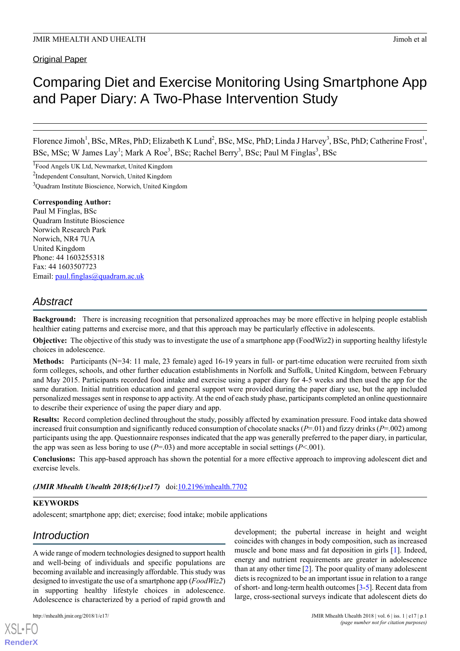# Comparing Diet and Exercise Monitoring Using Smartphone App and Paper Diary: A Two-Phase Intervention Study

Florence Jimoh<sup>1</sup>, BSc, MRes, PhD; Elizabeth K Lund<sup>2</sup>, BSc, MSc, PhD; Linda J Harvey<sup>3</sup>, BSc, PhD; Catherine Frost<sup>1</sup>, BSc, MSc; W James Lay<sup>1</sup>; Mark A Roe<sup>3</sup>, BSc; Rachel Berry<sup>3</sup>, BSc; Paul M Finglas<sup>3</sup>, BSc

1 Food Angels UK Ltd, Newmarket, United Kingdom

<sup>2</sup>Independent Consultant, Norwich, United Kingdom

<sup>3</sup>Quadram Institute Bioscience, Norwich, United Kingdom

#### **Corresponding Author:**

Paul M Finglas, BSc Quadram Institute Bioscience Norwich Research Park Norwich, NR4 7UA United Kingdom Phone: 44 1603255318 Fax: 44 1603507723 Email: [paul.finglas@quadram.ac.uk](mailto:paul.finglas@quadram.ac.uk)

# *Abstract*

**Background:** There is increasing recognition that personalized approaches may be more effective in helping people establish healthier eating patterns and exercise more, and that this approach may be particularly effective in adolescents.

**Objective:** The objective of this study was to investigate the use of a smartphone app (FoodWiz2) in supporting healthy lifestyle choices in adolescence.

**Methods:** Participants (N=34: 11 male, 23 female) aged 16-19 years in full- or part-time education were recruited from sixth form colleges, schools, and other further education establishments in Norfolk and Suffolk, United Kingdom, between February and May 2015. Participants recorded food intake and exercise using a paper diary for 4-5 weeks and then used the app for the same duration. Initial nutrition education and general support were provided during the paper diary use, but the app included personalized messages sent in response to app activity. At the end of each study phase, participants completed an online questionnaire to describe their experience of using the paper diary and app.

**Results:** Record completion declined throughout the study, possibly affected by examination pressure. Food intake data showed increased fruit consumption and significantly reduced consumption of chocolate snacks (*P*=.01) and fizzy drinks (*P*=.002) among participants using the app. Questionnaire responses indicated that the app was generally preferred to the paper diary, in particular, the app was seen as less boring to use  $(P=0.03)$  and more acceptable in social settings  $(P<.001)$ .

**Conclusions:** This app-based approach has shown the potential for a more effective approach to improving adolescent diet and exercise levels.

*(JMIR Mhealth Uhealth 2018;6(1):e17)* doi:*10.2196/mhealth.7702* 

# **KEYWORDS**

adolescent; smartphone app; diet; exercise; food intake; mobile applications

# *Introduction*

A wide range of modern technologies designed to support health and well-being of individuals and specific populations are becoming available and increasingly affordable. This study was designed to investigate the use of a smartphone app (*FoodWiz2*) in supporting healthy lifestyle choices in adolescence. Adolescence is characterized by a period of rapid growth and

[XSL](http://www.w3.org/Style/XSL)•FO **[RenderX](http://www.renderx.com/)**

development; the pubertal increase in height and weight coincides with changes in body composition, such as increased muscle and bone mass and fat deposition in girls [\[1](#page-9-0)]. Indeed, energy and nutrient requirements are greater in adolescence than at any other time [[2\]](#page-10-0). The poor quality of many adolescent diets is recognized to be an important issue in relation to a range of short- and long-term health outcomes [\[3](#page-10-1)[-5](#page-10-2)]. Recent data from large, cross-sectional surveys indicate that adolescent diets do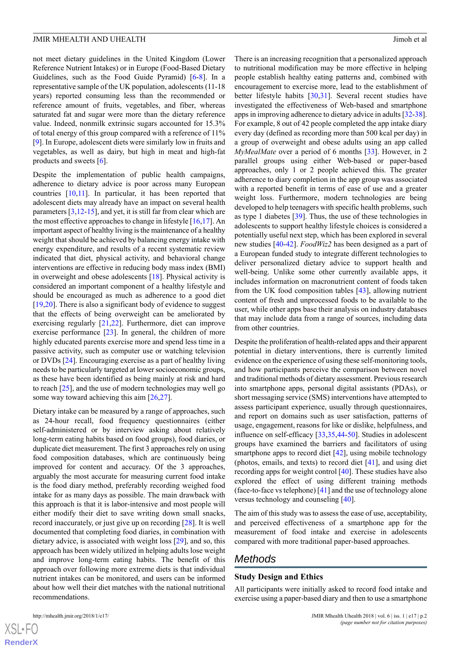not meet dietary guidelines in the United Kingdom (Lower Reference Nutrient Intakes) or in Europe (Food-Based Dietary Guidelines, such as the Food Guide Pyramid) [\[6](#page-10-3)-[8\]](#page-10-4). In a representative sample of the UK population, adolescents (11-18 years) reported consuming less than the recommended or reference amount of fruits, vegetables, and fiber, whereas saturated fat and sugar were more than the dietary reference value. Indeed, nonmilk extrinsic sugars accounted for 15.3% of total energy of this group compared with a reference of 11% [[9\]](#page-10-5). In Europe, adolescent diets were similarly low in fruits and vegetables, as well as dairy, but high in meat and high-fat products and sweets [[6\]](#page-10-3).

Despite the implementation of public health campaigns, adherence to dietary advice is poor across many European countries [\[10](#page-10-6),[11](#page-10-7)]. In particular, it has been reported that adolescent diets may already have an impact on several health parameters [[3,](#page-10-1)[12](#page-10-8)[-15](#page-10-9)], and yet, it is still far from clear which are the most effective approaches to change in lifestyle  $[16,17]$  $[16,17]$  $[16,17]$ . An important aspect of healthy living is the maintenance of a healthy weight that should be achieved by balancing energy intake with energy expenditure, and results of a recent systematic review indicated that diet, physical activity, and behavioral change interventions are effective in reducing body mass index (BMI) in overweight and obese adolescents [\[18](#page-10-12)]. Physical activity is considered an important component of a healthy lifestyle and should be encouraged as much as adherence to a good diet [[19](#page-10-13)[,20](#page-10-14)]. There is also a significant body of evidence to suggest that the effects of being overweight can be ameliorated by exercising regularly [[21,](#page-10-15)[22](#page-10-16)]. Furthermore, diet can improve exercise performance [\[23](#page-11-0)]. In general, the children of more highly educated parents exercise more and spend less time in a passive activity, such as computer use or watching television or DVDs [\[24](#page-11-1)]. Encouraging exercise as a part of healthy living needs to be particularly targeted at lower socioeconomic groups, as these have been identified as being mainly at risk and hard to reach [\[25](#page-11-2)], and the use of modern technologies may well go some way toward achieving this aim [[26,](#page-11-3)[27](#page-11-4)].

Dietary intake can be measured by a range of approaches, such as 24-hour recall, food frequency questionnaires (either self-administered or by interview asking about relatively long-term eating habits based on food groups), food diaries, or duplicate diet measurement. The first 3 approaches rely on using food composition databases, which are continuously being improved for content and accuracy. Of the 3 approaches, arguably the most accurate for measuring current food intake is the food diary method, preferably recording weighed food intake for as many days as possible. The main drawback with this approach is that it is labor-intensive and most people will either modify their diet to save writing down small snacks, record inaccurately, or just give up on recording [[28\]](#page-11-5). It is well documented that completing food diaries, in combination with dietary advice, is associated with weight loss [[29\]](#page-11-6), and so, this approach has been widely utilized in helping adults lose weight and improve long-term eating habits. The benefit of this approach over following more extreme diets is that individual nutrient intakes can be monitored, and users can be informed about how well their diet matches with the national nutritional recommendations.

There is an increasing recognition that a personalized approach to nutritional modification may be more effective in helping people establish healthy eating patterns and, combined with encouragement to exercise more, lead to the establishment of better lifestyle habits [[30](#page-11-7)[,31](#page-11-8)]. Several recent studies have investigated the effectiveness of Web-based and smartphone apps in improving adherence to dietary advice in adults [[32-](#page-11-9)[38](#page-11-10)]. For example, 8 out of 42 people completed the app intake diary every day (defined as recording more than 500 kcal per day) in a group of overweight and obese adults using an app called *MyMealMate* over a period of 6 months [\[33](#page-11-11)]. However, in 2 parallel groups using either Web-based or paper-based approaches, only 1 or 2 people achieved this. The greater adherence to diary completion in the app group was associated with a reported benefit in terms of ease of use and a greater weight loss. Furthermore, modern technologies are being developed to help teenagers with specific health problems, such as type 1 diabetes [[39\]](#page-11-12). Thus, the use of these technologies in adolescents to support healthy lifestyle choices is considered a potentially useful next step, which has been explored in several new studies [[40](#page-11-13)[-42](#page-11-14)]. *FoodWiz2* has been designed as a part of a European funded study to integrate different technologies to deliver personalized dietary advice to support health and well-being. Unlike some other currently available apps, it includes information on macronutrient content of foods taken from the UK food composition tables [\[43](#page-12-0)], allowing nutrient content of fresh and unprocessed foods to be available to the user, while other apps base their analysis on industry databases that may include data from a range of sources, including data from other countries.

Despite the proliferation of health-related apps and their apparent potential in dietary interventions, there is currently limited evidence on the experience of using these self-monitoring tools, and how participants perceive the comparison between novel and traditional methods of dietary assessment. Previous research into smartphone apps, personal digital assistants (PDAs), or short messaging service (SMS) interventions have attempted to assess participant experience, usually through questionnaires, and report on domains such as user satisfaction, patterns of usage, engagement, reasons for like or dislike, helpfulness, and influence on self-efficacy [[33,](#page-11-11)[35](#page-11-15),[44-](#page-12-1)[50\]](#page-12-2). Studies in adolescent groups have examined the barriers and facilitators of using smartphone apps to record diet  $[42]$  $[42]$ , using mobile technology (photos, emails, and texts) to record diet [[41\]](#page-11-16), and using diet recording apps for weight control [[40\]](#page-11-13). These studies have also explored the effect of using different training methods (face-to-face vs telephone) [\[41](#page-11-16)] and the use of technology alone versus technology and counseling [[40\]](#page-11-13).

The aim of this study was to assess the ease of use, acceptability, and perceived effectiveness of a smartphone app for the measurement of food intake and exercise in adolescents compared with more traditional paper-based approaches.

# *Methods*

#### **Study Design and Ethics**

All participants were initially asked to record food intake and exercise using a paper-based diary and then to use a smartphone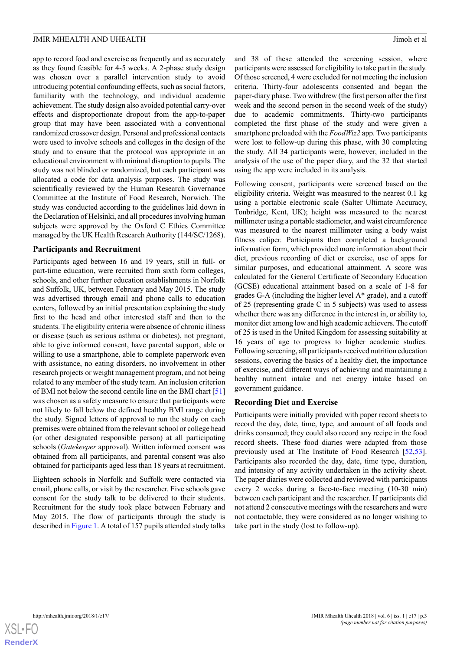app to record food and exercise as frequently and as accurately as they found feasible for 4-5 weeks. A 2-phase study design was chosen over a parallel intervention study to avoid introducing potential confounding effects, such as social factors, familiarity with the technology, and individual academic achievement. The study design also avoided potential carry-over effects and disproportionate dropout from the app-to-paper group that may have been associated with a conventional randomized crossover design. Personal and professional contacts were used to involve schools and colleges in the design of the study and to ensure that the protocol was appropriate in an educational environment with minimal disruption to pupils. The study was not blinded or randomized, but each participant was allocated a code for data analysis purposes. The study was scientifically reviewed by the Human Research Governance Committee at the Institute of Food Research, Norwich. The study was conducted according to the guidelines laid down in the Declaration of Helsinki, and all procedures involving human subjects were approved by the Oxford C Ethics Committee managed by the UK Health Research Authority (144/SC/1268).

#### **Participants and Recruitment**

Participants aged between 16 and 19 years, still in full- or part-time education, were recruited from sixth form colleges, schools, and other further education establishments in Norfolk and Suffolk, UK, between February and May 2015. The study was advertised through email and phone calls to education centers, followed by an initial presentation explaining the study first to the head and other interested staff and then to the students. The eligibility criteria were absence of chronic illness or disease (such as serious asthma or diabetes), not pregnant, able to give informed consent, have parental support, able or willing to use a smartphone, able to complete paperwork even with assistance, no eating disorders, no involvement in other research projects or weight management program, and not being related to any member of the study team. An inclusion criterion of BMI not below the second centile line on the BMI chart [\[51](#page-12-3)] was chosen as a safety measure to ensure that participants were not likely to fall below the defined healthy BMI range during the study. Signed letters of approval to run the study on each premises were obtained from the relevant school or college head (or other designated responsible person) at all participating schools (*Gatekeeper* approval). Written informed consent was obtained from all participants, and parental consent was also obtained for participants aged less than 18 years at recruitment.

Eighteen schools in Norfolk and Suffolk were contacted via email, phone calls, or visit by the researcher. Five schools gave consent for the study talk to be delivered to their students. Recruitment for the study took place between February and May 2015. The flow of participants through the study is described in [Figure 1.](#page-3-0) A total of 157 pupils attended study talks

and 38 of these attended the screening session, where participants were assessed for eligibility to take part in the study. Of those screened, 4 were excluded for not meeting the inclusion criteria. Thirty-four adolescents consented and began the paper-diary phase. Two withdrew (the first person after the first week and the second person in the second week of the study) due to academic commitments. Thirty-two participants completed the first phase of the study and were given a smartphone preloaded with the *FoodWiz2* app. Two participants were lost to follow-up during this phase, with 30 completing the study. All 34 participants were, however, included in the analysis of the use of the paper diary, and the 32 that started using the app were included in its analysis.

Following consent, participants were screened based on the eligibility criteria. Weight was measured to the nearest 0.1 kg using a portable electronic scale (Salter Ultimate Accuracy, Tonbridge, Kent, UK); height was measured to the nearest millimeter using a portable stadiometer, and waist circumference was measured to the nearest millimeter using a body waist fitness caliper. Participants then completed a background information form, which provided more information about their diet, previous recording of diet or exercise, use of apps for similar purposes, and educational attainment. A score was calculated for the General Certificate of Secondary Education (GCSE) educational attainment based on a scale of 1-8 for grades G-A (including the higher level A\* grade), and a cutoff of 25 (representing grade C in 5 subjects) was used to assess whether there was any difference in the interest in, or ability to, monitor diet among low and high academic achievers. The cutoff of 25 is used in the United Kingdom for assessing suitability at 16 years of age to progress to higher academic studies. Following screening, all participants received nutrition education sessions, covering the basics of a healthy diet, the importance of exercise, and different ways of achieving and maintaining a healthy nutrient intake and net energy intake based on government guidance.

# **Recording Diet and Exercise**

Participants were initially provided with paper record sheets to record the day, date, time, type, and amount of all foods and drinks consumed; they could also record any recipe in the food record sheets. These food diaries were adapted from those previously used at The Institute of Food Research [\[52](#page-12-4),[53\]](#page-12-5). Participants also recorded the day, date, time type, duration, and intensity of any activity undertaken in the activity sheet. The paper diaries were collected and reviewed with participants every 2 weeks during a face-to-face meeting (10-30 min) between each participant and the researcher. If participants did not attend 2 consecutive meetings with the researchers and were not contactable, they were considered as no longer wishing to take part in the study (lost to follow-up).

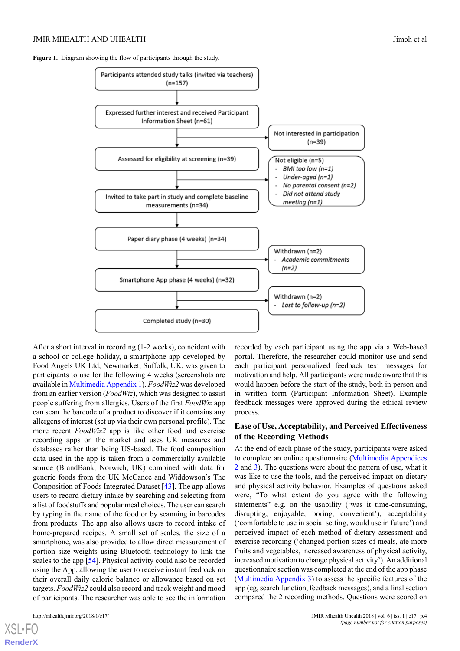<span id="page-3-0"></span>Figure 1. Diagram showing the flow of participants through the study.



After a short interval in recording (1-2 weeks), coincident with a school or college holiday, a smartphone app developed by Food Angels UK Ltd, Newmarket, Suffolk, UK, was given to participants to use for the following 4 weeks (screenshots are available in [Multimedia Appendix 1\)](#page-9-1). *FoodWiz2* was developed from an earlier version (*FoodWiz*), which was designed to assist people suffering from allergies. Users of the first *FoodWiz* app can scan the barcode of a product to discover if it contains any allergens of interest (set up via their own personal profile). The more recent *FoodWiz2* app is like other food and exercise recording apps on the market and uses UK measures and databases rather than being US-based. The food composition data used in the app is taken from a commercially available source (BrandBank, Norwich, UK) combined with data for generic foods from the UK McCance and Widdowson's The Composition of Foods Integrated Dataset [[43\]](#page-12-0). The app allows users to record dietary intake by searching and selecting from a list of foodstuffs and popular meal choices. The user can search by typing in the name of the food or by scanning in barcodes from products. The app also allows users to record intake of home-prepared recipes. A small set of scales, the size of a smartphone, was also provided to allow direct measurement of portion size weights using Bluetooth technology to link the scales to the app [\[54](#page-12-6)]. Physical activity could also be recorded using the App, allowing the user to receive instant feedback on their overall daily calorie balance or allowance based on set targets. *FoodWiz2* could also record and track weight and mood of participants. The researcher was able to see the information

[XSL](http://www.w3.org/Style/XSL)•FO **[RenderX](http://www.renderx.com/)**

recorded by each participant using the app via a Web-based portal. Therefore, the researcher could monitor use and send each participant personalized feedback text messages for motivation and help. All participants were made aware that this would happen before the start of the study, both in person and in written form (Participant Information Sheet). Example feedback messages were approved during the ethical review process.

### **Ease of Use, Acceptability, and Perceived Effectiveness of the Recording Methods**

At the end of each phase of the study, participants were asked to complete an online questionnaire ([Multimedia Appendices](#page-9-2) [2](#page-9-2) and [3\)](#page-9-3). The questions were about the pattern of use, what it was like to use the tools, and the perceived impact on dietary and physical activity behavior. Examples of questions asked were, "To what extent do you agree with the following statements" e.g. on the usability ('was it time-consuming, disrupting, enjoyable, boring, convenient'), acceptability ('comfortable to use in social setting, would use in future') and perceived impact of each method of dietary assessment and exercise recording ('changed portion sizes of meals, ate more fruits and vegetables, increased awareness of physical activity, increased motivation to change physical activity'). An additional questionnaire section was completed at the end of the app phase ([Multimedia Appendix 3](#page-9-3)) to assess the specific features of the app (eg, search function, feedback messages), and a final section compared the 2 recording methods. Questions were scored on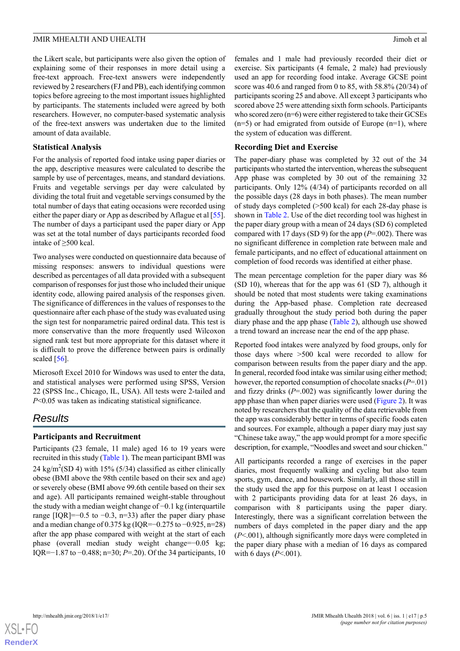the Likert scale, but participants were also given the option of explaining some of their responses in more detail using a free-text approach. Free-text answers were independently reviewed by 2 researchers (FJ and PB), each identifying common topics before agreeing to the most important issues highlighted by participants. The statements included were agreed by both researchers. However, no computer-based systematic analysis of the free-text answers was undertaken due to the limited amount of data available.

#### **Statistical Analysis**

For the analysis of reported food intake using paper diaries or the app, descriptive measures were calculated to describe the sample by use of percentages, means, and standard deviations. Fruits and vegetable servings per day were calculated by dividing the total fruit and vegetable servings consumed by the total number of days that eating occasions were recorded using either the paper diary or App as described by Aflague et al [[55\]](#page-12-7). The number of days a participant used the paper diary or App was set at the total number of days participants recorded food intake of ≥500 kcal.

Two analyses were conducted on questionnaire data because of missing responses: answers to individual questions were described as percentages of all data provided with a subsequent comparison of responses for just those who included their unique identity code, allowing paired analysis of the responses given. The significance of differences in the values of responses to the questionnaire after each phase of the study was evaluated using the sign test for nonparametric paired ordinal data. This test is more conservative than the more frequently used Wilcoxon signed rank test but more appropriate for this dataset where it is difficult to prove the difference between pairs is ordinally scaled [\[56](#page-12-8)].

Microsoft Excel 2010 for Windows was used to enter the data, and statistical analyses were performed using SPSS, Version 22 (SPSS Inc., Chicago, IL, USA). All tests were 2-tailed and *P*<0.05 was taken as indicating statistical significance.

# *Results*

#### **Participants and Recruitment**

Participants (23 female, 11 male) aged 16 to 19 years were recruited in this study ([Table 1\)](#page-5-0). The mean participant BMI was 24 kg/m<sup>2</sup>(SD 4) with 15% (5/34) classified as either clinically obese (BMI above the 98th centile based on their sex and age) or severely obese (BMI above 99.6th centile based on their sex and age). All participants remained weight-stable throughout the study with a median weight change of −0.1 kg (interquartile range  $[IQR] = -0.5$  to  $-0.3$ , n=33) after the paper diary phase and a median change of 0.375 kg (IQR=−0.275 to −0.925, n=28) after the app phase compared with weight at the start of each phase (overall median study weight change=−0.05 kg; IQR=−1.87 to −0.488; n=30; *P*=.20). Of the 34 participants, 10

females and 1 male had previously recorded their diet or exercise. Six participants (4 female, 2 male) had previously used an app for recording food intake. Average GCSE point score was 40.6 and ranged from 0 to 85, with 58.8% (20/34) of participants scoring 25 and above. All except 3 participants who scored above 25 were attending sixth form schools. Participants who scored zero (n=6) were either registered to take their GCSEs  $(n=5)$  or had emigrated from outside of Europe  $(n=1)$ , where the system of education was different.

#### **Recording Diet and Exercise**

The paper-diary phase was completed by 32 out of the 34 participants who started the intervention, whereas the subsequent App phase was completed by 30 out of the remaining 32 participants. Only 12% (4/34) of participants recorded on all the possible days (28 days in both phases). The mean number of study days completed (>500 kcal) for each 28-day phase is shown in [Table 2.](#page-5-1) Use of the diet recording tool was highest in the paper diary group with a mean of 24 days (SD 6) completed compared with 17 days (SD 9) for the app (*P*=.002). There was no significant difference in completion rate between male and female participants, and no effect of educational attainment on completion of food records was identified at either phase.

The mean percentage completion for the paper diary was 86 (SD 10), whereas that for the app was 61 (SD 7), although it should be noted that most students were taking examinations during the App-based phase. Completion rate decreased gradually throughout the study period both during the paper diary phase and the app phase [\(Table 2\)](#page-5-1), although use showed a trend toward an increase near the end of the app phase.

Reported food intakes were analyzed by food groups, only for those days where >500 kcal were recorded to allow for comparison between results from the paper diary and the app. In general, recorded food intake was similar using either method; however, the reported consumption of chocolate snacks (*P*=.01) and fizzy drinks (*P*=.002) was significantly lower during the app phase than when paper diaries were used ([Figure 2\)](#page-6-0). It was noted by researchers that the quality of the data retrievable from the app was considerably better in terms of specific foods eaten and sources. For example, although a paper diary may just say "Chinese take away," the app would prompt for a more specific description, for example, "Noodles and sweet and sour chicken."

All participants recorded a range of exercises in the paper diaries, most frequently walking and cycling but also team sports, gym, dance, and housework. Similarly, all those still in the study used the app for this purpose on at least 1 occasion with 2 participants providing data for at least 26 days, in comparison with 8 participants using the paper diary. Interestingly, there was a significant correlation between the numbers of days completed in the paper diary and the app (*P*<.001), although significantly more days were completed in the paper diary phase with a median of 16 days as compared with 6 days (*P*<.001).

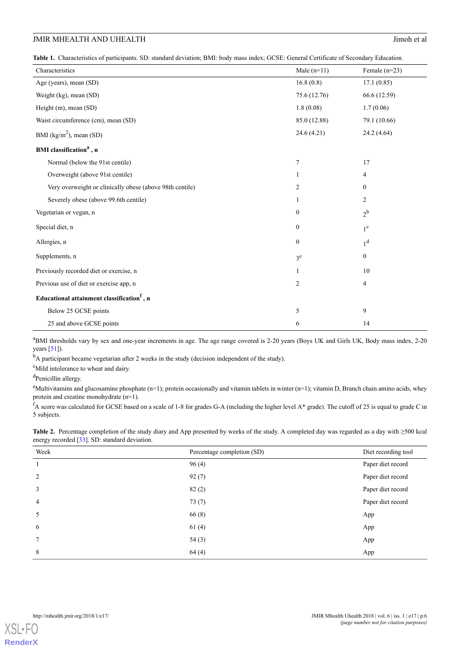# JMIR MHEALTH AND UHEALTH **Jimoh et al.**

<span id="page-5-0"></span>**Table 1.** Characteristics of participants. SD: standard deviation; BMI: body mass index; GCSE: General Certificate of Secondary Education.

| rabit 1. Characterístics of participants. SD. standard deviation, Divir. Dody mass much, OCSE. Ocherar Certificate of Secondary Ludcation.<br>Characteristics | Male $(n=11)$    | Female $(n=23)$  |
|---------------------------------------------------------------------------------------------------------------------------------------------------------------|------------------|------------------|
|                                                                                                                                                               |                  |                  |
| Age (years), mean (SD)                                                                                                                                        | 16.8(0.8)        | 17.1(0.85)       |
| Weight (kg), mean (SD)                                                                                                                                        | 75.6 (12.76)     | 66.6 (12.59)     |
| Height (m), mean (SD)                                                                                                                                         | 1.8(0.08)        | 1.7(0.06)        |
| Waist circumference (cm), mean (SD)                                                                                                                           | 85.0 (12.88)     | 79.1 (10.66)     |
| BMI $(kg/m2)$ , mean (SD)                                                                                                                                     | 24.6(4.21)       | 24.2 (4.64)      |
| <b>BMI</b> classification <sup>a</sup> , n                                                                                                                    |                  |                  |
| Normal (below the 91st centile)                                                                                                                               | 7                | 17               |
| Overweight (above 91st centile)                                                                                                                               | 1                | 4                |
| Very overweight or clinically obese (above 98th centile)                                                                                                      | $\overline{c}$   | $\overline{0}$   |
| Severely obese (above 99.6th centile)                                                                                                                         | 1                | $\overline{2}$   |
| Vegetarian or vegan, n                                                                                                                                        | $\boldsymbol{0}$ | $2^{\rm b}$      |
| Special diet, n                                                                                                                                               | $\boldsymbol{0}$ | $1^{\circ}$      |
| Allergies, n                                                                                                                                                  | $\boldsymbol{0}$ | 1 <sup>d</sup>   |
| Supplements, n                                                                                                                                                | 3 <sup>e</sup>   | $\boldsymbol{0}$ |
| Previously recorded diet or exercise, n                                                                                                                       | 1                | 10               |
| Previous use of diet or exercise app, n                                                                                                                       | $\overline{c}$   | $\overline{4}$   |
| Educational attainment classification <sup>f</sup> , n                                                                                                        |                  |                  |
| Below 25 GCSE points                                                                                                                                          | 5                | 9                |
| 25 and above GCSE points                                                                                                                                      | 6                | 14               |

<sup>a</sup>BMI thresholds vary by sex and one-year increments in age. The age range covered is 2-20 years (Boys UK and Girls UK, Body mass index, 2-20 years [\[51\]](#page-12-3)).

<sup>b</sup>A participant became vegetarian after 2 weeks in the study (decision independent of the study).

<sup>c</sup>Mild intolerance to wheat and dairy.

<sup>d</sup>Penicillin allergy.

<span id="page-5-1"></span><sup>e</sup>Multivitamins and glucosamine phosphate (n=1); protein occasionally and vitamin tablets in winter (n=1); vitamin D, Branch chain amino acids, whey protein and creatine monohydrate (n=1).

 $f_A$  score was calculated for GCSE based on a scale of 1-8 for grades G-A (including the higher level A\* grade). The cutoff of 25 is equal to grade C in 5 subjects.

| Table 2. Percentage completion of the study diary and App presented by weeks of the study. A completed day was regarded as a day with $\geq$ 500 kcal |  |
|-------------------------------------------------------------------------------------------------------------------------------------------------------|--|
| energy recorded $[33]$ . SD: standard deviation.                                                                                                      |  |

| Week            | Percentage completion (SD) | Diet recording tool |
|-----------------|----------------------------|---------------------|
|                 | 96(4)                      | Paper diet record   |
| $\overline{2}$  | 92(7)                      | Paper diet record   |
| 3               | 82(2)                      | Paper diet record   |
| $\overline{4}$  | 73(7)                      | Paper diet record   |
| 5               | 66(8)                      | App                 |
| 6               | 61(4)                      | App                 |
| $7\phantom{.0}$ | 54(3)                      | App                 |
| 8               | 64(4)                      | App                 |

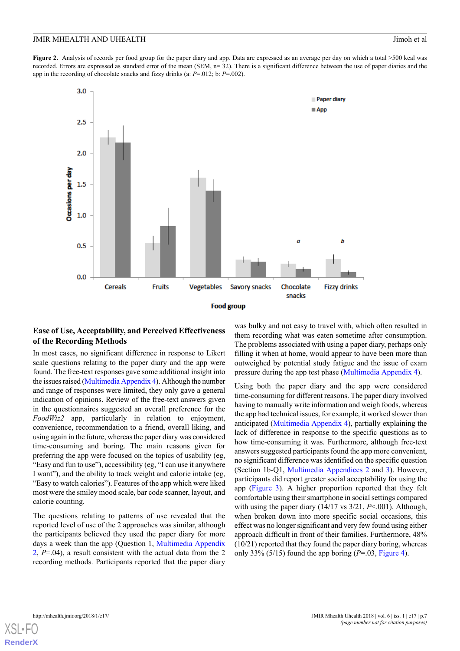<span id="page-6-0"></span>**Figure 2.** Analysis of records per food group for the paper diary and app. Data are expressed as an average per day on which a total >500 kcal was recorded. Errors are expressed as standard error of the mean (SEM, n= 32). There is a significant difference between the use of paper diaries and the app in the recording of chocolate snacks and fizzy drinks (a: *P*=.012; b: *P*=.002).



# **Ease of Use, Acceptability, and Perceived Effectiveness of the Recording Methods**

In most cases, no significant difference in response to Likert scale questions relating to the paper diary and the app were found. The free-text responses gave some additional insight into the issues raised [\(Multimedia Appendix 4\)](#page-9-4). Although the number and range of responses were limited, they only gave a general indication of opinions. Review of the free-text answers given in the questionnaires suggested an overall preference for the *FoodWiz2* app, particularly in relation to enjoyment, convenience, recommendation to a friend, overall liking, and using again in the future, whereas the paper diary was considered time-consuming and boring. The main reasons given for preferring the app were focused on the topics of usability (eg, "Easy and fun to use"), accessibility (eg, "I can use it anywhere I want"), and the ability to track weight and calorie intake (eg, "Easy to watch calories"). Features of the app which were liked most were the smiley mood scale, bar code scanner, layout, and calorie counting.

The questions relating to patterns of use revealed that the reported level of use of the 2 approaches was similar, although the participants believed they used the paper diary for more days a week than the app (Question 1, [Multimedia Appendix](#page-9-2) [2,](#page-9-2) *P*=.04), a result consistent with the actual data from the 2 recording methods. Participants reported that the paper diary

was bulky and not easy to travel with, which often resulted in them recording what was eaten sometime after consumption. The problems associated with using a paper diary, perhaps only filling it when at home, would appear to have been more than outweighed by potential study fatigue and the issue of exam pressure during the app test phase ([Multimedia Appendix 4\)](#page-9-4).

Using both the paper diary and the app were considered time-consuming for different reasons. The paper diary involved having to manually write information and weigh foods, whereas the app had technical issues, for example, it worked slower than anticipated ([Multimedia Appendix 4](#page-9-4)), partially explaining the lack of difference in response to the specific questions as to how time-consuming it was. Furthermore, although free-text answers suggested participants found the app more convenient, no significant difference was identified on the specific question (Section 1b-Q1, [Multimedia Appendices 2](#page-9-2) and [3\)](#page-9-3). However, participants did report greater social acceptability for using the app ([Figure 3\)](#page-7-0). A higher proportion reported that they felt comfortable using their smartphone in social settings compared with using the paper diary (14/17 vs 3/21, *P*<.001). Although, when broken down into more specific social occasions, this effect was no longer significant and very few found using either approach difficult in front of their families. Furthermore, 48% (10/21) reported that they found the paper diary boring, whereas only 33% ( $5/15$ ) found the app boring ( $P=0.03$ , [Figure 4\)](#page-7-1).

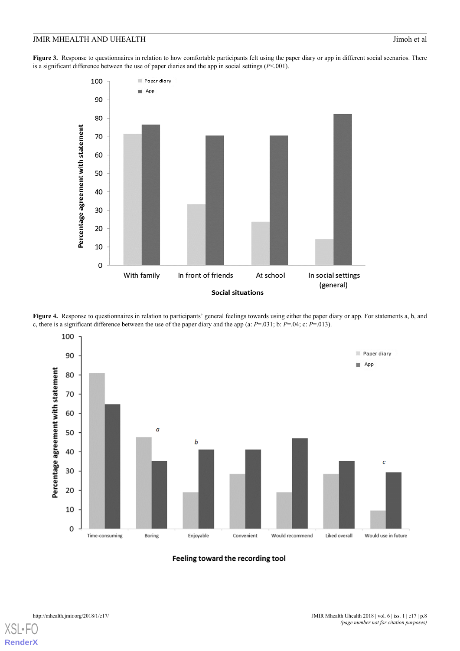### JMIR MHEALTH AND UHEALTH **For all and the set of all and the set of all and the set of all and the set of all and the set of all and the set of all and the set of all and the set of all and the set of all and the set of al**

<span id="page-7-0"></span>Figure 3. Response to questionnaires in relation to how comfortable participants felt using the paper diary or app in different social scenarios. There is a significant difference between the use of paper diaries and the app in social settings (*P*<.001).



<span id="page-7-1"></span>**Figure 4.** Response to questionnaires in relation to participants' general feelings towards using either the paper diary or app. For statements a, b, and c, there is a significant difference between the use of the paper diary and the app (a: *P*=.031; b: *P*=.04; c: *P*=.013).



Feeling toward the recording tool

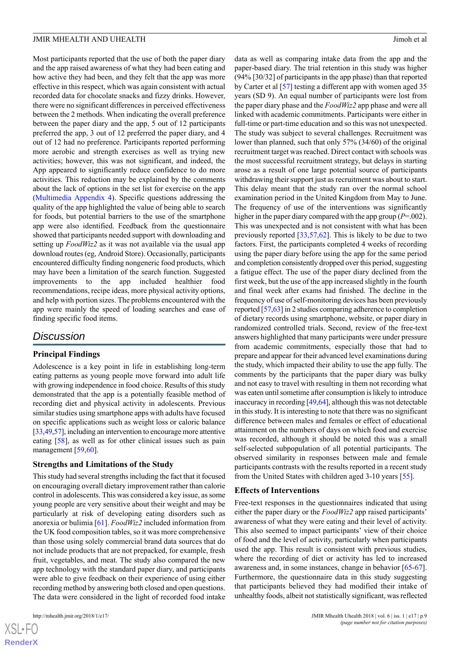Most participants reported that the use of both the paper diary and the app raised awareness of what they had been eating and how active they had been, and they felt that the app was more effective in this respect, which was again consistent with actual recorded data for chocolate snacks and fizzy drinks. However, there were no significant differences in perceived effectiveness between the 2 methods. When indicating the overall preference between the paper diary and the app, 5 out of 12 participants preferred the app, 3 out of 12 preferred the paper diary, and 4 out of 12 had no preference. Participants reported performing more aerobic and strength exercises as well as trying new activities; however, this was not significant, and indeed, the App appeared to significantly reduce confidence to do more activities. This reduction may be explained by the comments about the lack of options in the set list for exercise on the app ([Multimedia Appendix 4\)](#page-9-4). Specific questions addressing the quality of the app highlighted the value of being able to search for foods, but potential barriers to the use of the smartphone app were also identified. Feedback from the questionnaire showed that participants needed support with downloading and setting up *FoodWiz2* as it was not available via the usual app download routes (eg, Android Store). Occasionally, participants encountered difficulty finding nongeneric food products, which may have been a limitation of the search function. Suggested improvements to the app included healthier food recommendations, recipe ideas, more physical activity options, and help with portion sizes. The problems encountered with the app were mainly the speed of loading searches and ease of finding specific food items.

# *Discussion*

#### **Principal Findings**

Adolescence is a key point in life in establishing long-term eating patterns as young people move forward into adult life with growing independence in food choice. Results of this study demonstrated that the app is a potentially feasible method of recording diet and physical activity in adolescents. Previous similar studies using smartphone apps with adults have focused on specific applications such as weight loss or caloric balance [[33,](#page-11-11)[49,](#page-12-9)[57\]](#page-12-10), including an intervention to encourage more attentive eating [\[58](#page-12-11)], as well as for other clinical issues such as pain management [\[59](#page-12-12),[60\]](#page-12-13).

#### **Strengths and Limitations of the Study**

This study had several strengths including the fact that it focused on encouraging overall dietary improvement rather than calorie control in adolescents. This was considered a key issue, as some young people are very sensitive about their weight and may be particularly at risk of developing eating disorders such as anorexia or bulimia [[61\]](#page-12-14). *FoodWiz2* included information from the UK food composition tables, so it was more comprehensive than those using solely commercial brand data sources that do not include products that are not prepacked, for example, fresh fruit, vegetables, and meat. The study also compared the new app technology with the standard paper diary, and participants were able to give feedback on their experience of using either recording method by answering both closed and open questions. The data were considered in the light of recorded food intake

data as well as comparing intake data from the app and the paper-based diary. The trial retention in this study was higher (94% [30/32] of participants in the app phase) than that reported by Carter et al [\[57](#page-12-10)] testing a different app with women aged 35 years (SD 9). An equal number of participants were lost from the paper diary phase and the *FoodWiz2* app phase and were all linked with academic commitments. Participants were either in full-time or part-time education and so this was not unexpected. The study was subject to several challenges. Recruitment was lower than planned, such that only 57% (34/60) of the original recruitment target was reached. Direct contact with schools was the most successful recruitment strategy, but delays in starting arose as a result of one large potential source of participants withdrawing their support just as recruitment was about to start. This delay meant that the study ran over the normal school examination period in the United Kingdom from May to June. The frequency of use of the interventions was significantly higher in the paper diary compared with the app group (*P*=.002). This was unexpected and is not consistent with what has been previously reported [\[33](#page-11-11)[,57](#page-12-10)[,62](#page-12-15)]. This is likely to be due to two factors. First, the participants completed 4 weeks of recording using the paper diary before using the app for the same period and completion consistently dropped over this period, suggesting a fatigue effect. The use of the paper diary declined from the first week, but the use of the app increased slightly in the fourth and final week after exams had finished. The decline in the frequency of use of self-monitoring devices has been previously reported [\[57](#page-12-10),[63](#page-12-16)] in 2 studies comparing adherence to completion of dietary records using smartphone, website, or paper diary in randomized controlled trials. Second, review of the free-text answers highlighted that many participants were under pressure from academic commitments, especially those that had to prepare and appear for their advanced level examinations during the study, which impacted their ability to use the app fully. The comments by the participants that the paper diary was bulky and not easy to travel with resulting in them not recording what was eaten until sometime after consumption is likely to introduce inaccuracy in recording [\[49](#page-12-9)[,64\]](#page-12-17), although this was not detectable in this study. It is interesting to note that there was no significant difference between males and females or effect of educational attainment on the numbers of days on which food and exercise was recorded, although it should be noted this was a small self-selected subpopulation of all potential participants. The observed similarity in responses between male and female participants contrasts with the results reported in a recent study from the United States with children aged 3-10 years [[55\]](#page-12-7).

#### **Effects of Interventions**

Free-text responses in the questionnaires indicated that using either the paper diary or the *FoodWiz2* app raised participants' awareness of what they were eating and their level of activity. This also seemed to impact participants' view of their choice of food and the level of activity, particularly when participants used the app. This result is consistent with previous studies, where the recording of diet or activity has led to increased awareness and, in some instances, change in behavior [[65-](#page-13-0)[67\]](#page-13-1). Furthermore, the questionnaire data in this study suggesting that participants believed they had modified their intake of unhealthy foods, albeit not statistically significant, was reflected

 $XS$  • FO **[RenderX](http://www.renderx.com/)**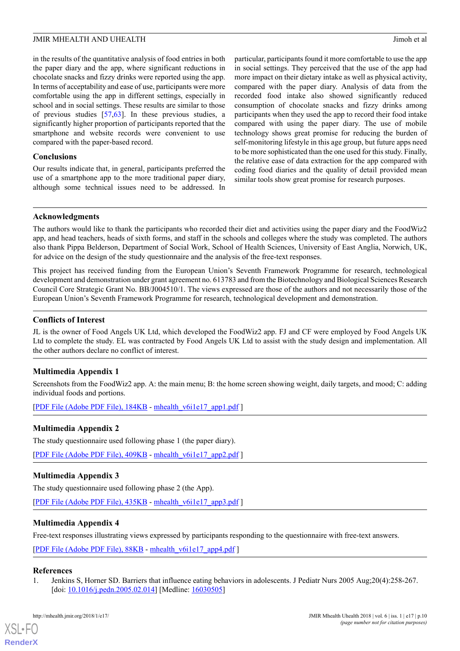in the results of the quantitative analysis of food entries in both the paper diary and the app, where significant reductions in chocolate snacks and fizzy drinks were reported using the app. In terms of acceptability and ease of use, participants were more comfortable using the app in different settings, especially in school and in social settings. These results are similar to those of previous studies [[57,](#page-12-10)[63](#page-12-16)]. In these previous studies, a significantly higher proportion of participants reported that the smartphone and website records were convenient to use compared with the paper-based record.

#### **Conclusions**

Our results indicate that, in general, participants preferred the use of a smartphone app to the more traditional paper diary, although some technical issues need to be addressed. In

particular, participants found it more comfortable to use the app in social settings. They perceived that the use of the app had more impact on their dietary intake as well as physical activity, compared with the paper diary. Analysis of data from the recorded food intake also showed significantly reduced consumption of chocolate snacks and fizzy drinks among participants when they used the app to record their food intake compared with using the paper diary. The use of mobile technology shows great promise for reducing the burden of self-monitoring lifestyle in this age group, but future apps need to be more sophisticated than the one used for this study. Finally, the relative ease of data extraction for the app compared with coding food diaries and the quality of detail provided mean similar tools show great promise for research purposes.

### **Acknowledgments**

The authors would like to thank the participants who recorded their diet and activities using the paper diary and the FoodWiz2 app, and head teachers, heads of sixth forms, and staff in the schools and colleges where the study was completed. The authors also thank Pippa Belderson, Department of Social Work, School of Health Sciences, University of East Anglia, Norwich, UK, for advice on the design of the study questionnaire and the analysis of the free-text responses.

This project has received funding from the European Union's Seventh Framework Programme for research, technological development and demonstration under grant agreement no. 613783 and from the Biotechnology and Biological Sciences Research Council Core Strategic Grant No. BB/J004510/1. The views expressed are those of the authors and not necessarily those of the European Union's Seventh Framework Programme for research, technological development and demonstration.

# **Conflicts of Interest**

<span id="page-9-1"></span>JL is the owner of Food Angels UK Ltd, which developed the FoodWiz2 app. FJ and CF were employed by Food Angels UK Ltd to complete the study. EL was contracted by Food Angels UK Ltd to assist with the study design and implementation. All the other authors declare no conflict of interest.

# **Multimedia Appendix 1**

<span id="page-9-2"></span>Screenshots from the FoodWiz2 app. A: the main menu; B: the home screen showing weight, daily targets, and mood; C: adding individual foods and portions.

[[PDF File \(Adobe PDF File\), 184KB](http://mhealth.jmir.org/article/downloadSuppFile/7702/50353) - [mhealth\\_v6i1e17\\_app1.pdf](http://mhealth.jmir.org/article/downloadSuppFile/7702/50353) ]

# <span id="page-9-3"></span>**Multimedia Appendix 2**

The study questionnaire used following phase 1 (the paper diary).

[[PDF File \(Adobe PDF File\), 409KB](http://mhealth.jmir.org/article/downloadSuppFile/7702/50354) - [mhealth\\_v6i1e17\\_app2.pdf](http://mhealth.jmir.org/article/downloadSuppFile/7702/50354) ]

# <span id="page-9-4"></span>**Multimedia Appendix 3**

The study questionnaire used following phase 2 (the App).

[[PDF File \(Adobe PDF File\), 435KB](http://mhealth.jmir.org/article/downloadSuppFile/7702/50355) - [mhealth\\_v6i1e17\\_app3.pdf](http://mhealth.jmir.org/article/downloadSuppFile/7702/50355) ]

# <span id="page-9-0"></span>**Multimedia Appendix 4**

Free-text responses illustrating views expressed by participants responding to the questionnaire with free-text answers.

[[PDF File \(Adobe PDF File\), 88KB](http://mhealth.jmir.org/article/downloadSuppFile/7702/65736) - [mhealth\\_v6i1e17\\_app4.pdf](http://mhealth.jmir.org/article/downloadSuppFile/7702/65736) ]

#### **References**

[XSL](http://www.w3.org/Style/XSL)•FO **[RenderX](http://www.renderx.com/)**

1. Jenkins S, Horner SD. Barriers that influence eating behaviors in adolescents. J Pediatr Nurs 2005 Aug;20(4):258-267. [doi: [10.1016/j.pedn.2005.02.014](http://dx.doi.org/10.1016/j.pedn.2005.02.014)] [Medline: [16030505](http://www.ncbi.nlm.nih.gov/entrez/query.fcgi?cmd=Retrieve&db=PubMed&list_uids=16030505&dopt=Abstract)]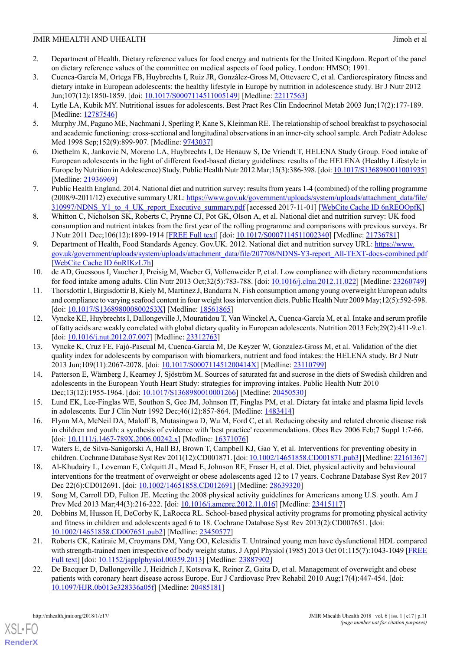- <span id="page-10-0"></span>2. Department of Health. Dietary reference values for food energy and nutrients for the United Kingdom. Report of the panel on dietary reference values of the committee on medical aspects of food policy. London: HMSO; 1991.
- <span id="page-10-1"></span>3. Cuenca-García M, Ortega FB, Huybrechts I, Ruiz JR, González-Gross M, Ottevaere C, et al. Cardiorespiratory fitness and dietary intake in European adolescents: the healthy lifestyle in Europe by nutrition in adolescence study. Br J Nutr 2012 Jun;107(12):1850-1859. [doi: [10.1017/S0007114511005149](http://dx.doi.org/10.1017/S0007114511005149)] [Medline: [22117563\]](http://www.ncbi.nlm.nih.gov/entrez/query.fcgi?cmd=Retrieve&db=PubMed&list_uids=22117563&dopt=Abstract)
- <span id="page-10-2"></span>4. Lytle LA, Kubik MY. Nutritional issues for adolescents. Best Pract Res Clin Endocrinol Metab 2003 Jun;17(2):177-189. [Medline: [12787546](http://www.ncbi.nlm.nih.gov/entrez/query.fcgi?cmd=Retrieve&db=PubMed&list_uids=12787546&dopt=Abstract)]
- <span id="page-10-3"></span>5. Murphy JM, Pagano ME, Nachmani J, Sperling P, Kane S, Kleinman RE. The relationship of school breakfast to psychosocial and academic functioning: cross-sectional and longitudinal observations in an inner-city school sample. Arch Pediatr Adolesc Med 1998 Sep;152(9):899-907. [Medline: [9743037](http://www.ncbi.nlm.nih.gov/entrez/query.fcgi?cmd=Retrieve&db=PubMed&list_uids=9743037&dopt=Abstract)]
- 6. Diethelm K, Jankovic N, Moreno LA, Huybrechts I, De Henauw S, De Vriendt T, HELENA Study Group. Food intake of European adolescents in the light of different food-based dietary guidelines: results of the HELENA (Healthy Lifestyle in Europe by Nutrition in Adolescence) Study. Public Health Nutr 2012 Mar;15(3):386-398. [doi: [10.1017/S1368980011001935\]](http://dx.doi.org/10.1017/S1368980011001935) [Medline: [21936969](http://www.ncbi.nlm.nih.gov/entrez/query.fcgi?cmd=Retrieve&db=PubMed&list_uids=21936969&dopt=Abstract)]
- <span id="page-10-4"></span>7. Public Health England. 2014. National diet and nutrition survey: results from years 1-4 (combined) of the rolling programme (2008/9-2011/12) executive summary URL: [https://www.gov.uk/government/uploads/system/uploads/attachment\\_data/file/](https://www.gov.uk/government/uploads/system/uploads/attachment_data/file/310997/NDNS_Y1_to_4_UK_report_Executive_summary.pdf) [310997/NDNS\\_Y1\\_to\\_4\\_UK\\_report\\_Executive\\_summary.pdf](https://www.gov.uk/government/uploads/system/uploads/attachment_data/file/310997/NDNS_Y1_to_4_UK_report_Executive_summary.pdf) [accessed 2017-11-01] [[WebCite Cache ID 6nREOOpfK](http://www.webcitation.org/6nREOOpfK)]
- <span id="page-10-5"></span>8. Whitton C, Nicholson SK, Roberts C, Prynne CJ, Pot GK, Olson A, et al. National diet and nutrition survey: UK food consumption and nutrient intakes from the first year of the rolling programme and comparisons with previous surveys. Br J Nutr 2011 Dec;106(12):1899-1914 [\[FREE Full text\]](http://europepmc.org/abstract/MED/21736781) [doi: [10.1017/S0007114511002340](http://dx.doi.org/10.1017/S0007114511002340)] [Medline: [21736781\]](http://www.ncbi.nlm.nih.gov/entrez/query.fcgi?cmd=Retrieve&db=PubMed&list_uids=21736781&dopt=Abstract)
- <span id="page-10-6"></span>9. Department of Health, Food Standards Agency. Gov.UK. 2012. National diet and nutrition survey URL: [https://www.](https://www.gov.uk/government/uploads/system/uploads/attachment_data/file/207708/NDNS-Y3-report_All-TEXT-docs-combined.pdf) [gov.uk/government/uploads/system/uploads/attachment\\_data/file/207708/NDNS-Y3-report\\_All-TEXT-docs-combined.pdf](https://www.gov.uk/government/uploads/system/uploads/attachment_data/file/207708/NDNS-Y3-report_All-TEXT-docs-combined.pdf) [[WebCite Cache ID 6nRIKzL7h](http://www.webcitation.org/6nRIKzL7h)]
- <span id="page-10-7"></span>10. de AD, Guessous I, Vaucher J, Preisig M, Waeber G, Vollenweider P, et al. Low compliance with dietary recommendations for food intake among adults. Clin Nutr 2013 Oct;32(5):783-788. [doi: [10.1016/j.clnu.2012.11.022](http://dx.doi.org/10.1016/j.clnu.2012.11.022)] [Medline: [23260749\]](http://www.ncbi.nlm.nih.gov/entrez/query.fcgi?cmd=Retrieve&db=PubMed&list_uids=23260749&dopt=Abstract)
- <span id="page-10-8"></span>11. Thorsdottir I, Birgisdottir B, Kiely M, Martinez J, Bandarra N. Fish consumption among young overweight European adults and compliance to varying seafood content in four weight loss intervention diets. Public Health Nutr 2009 May;12(5):592-598. [doi: [10.1017/S136898000800253X\]](http://dx.doi.org/10.1017/S136898000800253X) [Medline: [18561865\]](http://www.ncbi.nlm.nih.gov/entrez/query.fcgi?cmd=Retrieve&db=PubMed&list_uids=18561865&dopt=Abstract)
- 12. Vyncke KE, Huybrechts I, Dallongeville J, Mouratidou T, Van Winckel A, Cuenca-García M, et al. Intake and serum profile of fatty acids are weakly correlated with global dietary quality in European adolescents. Nutrition 2013 Feb;29(2):411-9.e1. [doi: [10.1016/j.nut.2012.07.007\]](http://dx.doi.org/10.1016/j.nut.2012.07.007) [Medline: [23312763](http://www.ncbi.nlm.nih.gov/entrez/query.fcgi?cmd=Retrieve&db=PubMed&list_uids=23312763&dopt=Abstract)]
- 13. Vyncke K, Cruz FE, Fajó-Pascual M, Cuenca-García M, De Keyzer W, Gonzalez-Gross M, et al. Validation of the diet quality index for adolescents by comparison with biomarkers, nutrient and food intakes: the HELENA study. Br J Nutr 2013 Jun;109(11):2067-2078. [doi: [10.1017/S000711451200414X](http://dx.doi.org/10.1017/S000711451200414X)] [Medline: [23110799\]](http://www.ncbi.nlm.nih.gov/entrez/query.fcgi?cmd=Retrieve&db=PubMed&list_uids=23110799&dopt=Abstract)
- <span id="page-10-10"></span><span id="page-10-9"></span>14. Patterson E, Wärnberg J, Kearney J, Sjöström M. Sources of saturated fat and sucrose in the diets of Swedish children and adolescents in the European Youth Heart Study: strategies for improving intakes. Public Health Nutr 2010 Dec;13(12):1955-1964. [doi: [10.1017/S1368980010001266](http://dx.doi.org/10.1017/S1368980010001266)] [Medline: [20450530](http://www.ncbi.nlm.nih.gov/entrez/query.fcgi?cmd=Retrieve&db=PubMed&list_uids=20450530&dopt=Abstract)]
- <span id="page-10-11"></span>15. Lund EK, Lee-Finglas WE, Southon S, Gee JM, Johnson IT, Finglas PM, et al. Dietary fat intake and plasma lipid levels in adolescents. Eur J Clin Nutr 1992 Dec;46(12):857-864. [Medline: [1483414\]](http://www.ncbi.nlm.nih.gov/entrez/query.fcgi?cmd=Retrieve&db=PubMed&list_uids=1483414&dopt=Abstract)
- <span id="page-10-12"></span>16. Flynn MA, McNeil DA, Maloff B, Mutasingwa D, Wu M, Ford C, et al. Reducing obesity and related chronic disease risk in children and youth: a synthesis of evidence with 'best practice' recommendations. Obes Rev 2006 Feb;7 Suppl 1:7-66. [doi: [10.1111/j.1467-789X.2006.00242.x](http://dx.doi.org/10.1111/j.1467-789X.2006.00242.x)] [Medline: [16371076](http://www.ncbi.nlm.nih.gov/entrez/query.fcgi?cmd=Retrieve&db=PubMed&list_uids=16371076&dopt=Abstract)]
- <span id="page-10-13"></span>17. Waters E, de Silva-Sanigorski A, Hall BJ, Brown T, Campbell KJ, Gao Y, et al. Interventions for preventing obesity in children. Cochrane Database Syst Rev 2011(12):CD001871. [doi: [10.1002/14651858.CD001871.pub3](http://dx.doi.org/10.1002/14651858.CD001871.pub3)] [Medline: [22161367](http://www.ncbi.nlm.nih.gov/entrez/query.fcgi?cmd=Retrieve&db=PubMed&list_uids=22161367&dopt=Abstract)]
- <span id="page-10-14"></span>18. Al-Khudairy L, Loveman E, Colquitt JL, Mead E, Johnson RE, Fraser H, et al. Diet, physical activity and behavioural interventions for the treatment of overweight or obese adolescents aged 12 to 17 years. Cochrane Database Syst Rev 2017 Dec 22(6):CD012691. [doi: [10.1002/14651858.CD012691](http://dx.doi.org/10.1002/14651858.CD012691)] [Medline: [28639320](http://www.ncbi.nlm.nih.gov/entrez/query.fcgi?cmd=Retrieve&db=PubMed&list_uids=28639320&dopt=Abstract)]
- <span id="page-10-15"></span>19. Song M, Carroll DD, Fulton JE. Meeting the 2008 physical activity guidelines for Americans among U.S. youth. Am J Prev Med 2013 Mar; 44(3): 216-222. [doi: 10.1016/j.amepre. 2012. 11.016] [Medline: [23415117\]](http://www.ncbi.nlm.nih.gov/entrez/query.fcgi?cmd=Retrieve&db=PubMed&list_uids=23415117&dopt=Abstract)
- <span id="page-10-16"></span>20. Dobbins M, Husson H, DeCorby K, LaRocca RL. School-based physical activity programs for promoting physical activity and fitness in children and adolescents aged 6 to 18. Cochrane Database Syst Rev 2013(2):CD007651. [doi: [10.1002/14651858.CD007651.pub2\]](http://dx.doi.org/10.1002/14651858.CD007651.pub2) [Medline: [23450577](http://www.ncbi.nlm.nih.gov/entrez/query.fcgi?cmd=Retrieve&db=PubMed&list_uids=23450577&dopt=Abstract)]
- 21. Roberts CK, Katiraie M, Croymans DM, Yang OO, Kelesidis T. Untrained young men have dysfunctional HDL compared with strength-trained men irrespective of body weight status. J Appl Physiol (1985) 2013 Oct 01;115(7):1043-1049 [\[FREE](http://jap.physiology.org/cgi/pmidlookup?view=long&pmid=23887902) [Full text](http://jap.physiology.org/cgi/pmidlookup?view=long&pmid=23887902)] [doi: [10.1152/japplphysiol.00359.2013\]](http://dx.doi.org/10.1152/japplphysiol.00359.2013) [Medline: [23887902](http://www.ncbi.nlm.nih.gov/entrez/query.fcgi?cmd=Retrieve&db=PubMed&list_uids=23887902&dopt=Abstract)]
- 22. De Bacquer D, Dallongeville J, Heidrich J, Kotseva K, Reiner Z, Gaita D, et al. Management of overweight and obese patients with coronary heart disease across Europe. Eur J Cardiovasc Prev Rehabil 2010 Aug;17(4):447-454. [doi: [10.1097/HJR.0b013e328336a05f](http://dx.doi.org/10.1097/HJR.0b013e328336a05f)] [Medline: [20485181\]](http://www.ncbi.nlm.nih.gov/entrez/query.fcgi?cmd=Retrieve&db=PubMed&list_uids=20485181&dopt=Abstract)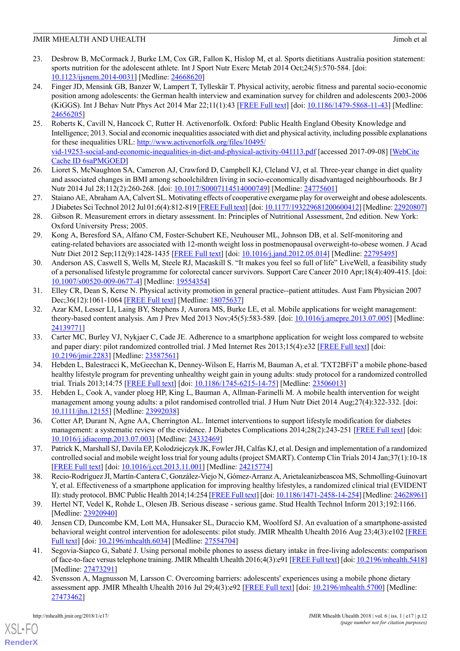- <span id="page-11-0"></span>23. Desbrow B, McCormack J, Burke LM, Cox GR, Fallon K, Hislop M, et al. Sports dietitians Australia position statement: sports nutrition for the adolescent athlete. Int J Sport Nutr Exerc Metab 2014 Oct;24(5):570-584. [doi: [10.1123/ijsnem.2014-0031\]](http://dx.doi.org/10.1123/ijsnem.2014-0031) [Medline: [24668620\]](http://www.ncbi.nlm.nih.gov/entrez/query.fcgi?cmd=Retrieve&db=PubMed&list_uids=24668620&dopt=Abstract)
- <span id="page-11-1"></span>24. Finger JD, Mensink GB, Banzer W, Lampert T, Tylleskär T. Physical activity, aerobic fitness and parental socio-economic position among adolescents: the German health interview and examination survey for children and adolescents 2003-2006 (KiGGS). Int J Behav Nutr Phys Act 2014 Mar 22;11(1):43 [\[FREE Full text\]](https://ijbnpa.biomedcentral.com/articles/10.1186/1479-5868-11-43) [doi: [10.1186/1479-5868-11-43](http://dx.doi.org/10.1186/1479-5868-11-43)] [Medline: [24656205](http://www.ncbi.nlm.nih.gov/entrez/query.fcgi?cmd=Retrieve&db=PubMed&list_uids=24656205&dopt=Abstract)]
- <span id="page-11-2"></span>25. Roberts K, Cavill N, Hancock C, Rutter H. Activenorfolk. Oxford: Public Health England Obesity Knowledge and Intelligence; 2013. Social and economic inequalities associated with diet and physical activity, including possible explanations for these inequalities URL: [http://www.activenorfolk.org/files/10495/](http://www.activenorfolk.org/files/10495/vid-19253-social-and-economic-inequalities-in-diet-and-physical-activity-041113.pdf) [vid-19253-social-and-economic-inequalities-in-diet-and-physical-activity-041113.pdf](http://www.activenorfolk.org/files/10495/vid-19253-social-and-economic-inequalities-in-diet-and-physical-activity-041113.pdf) [accessed 2017-09-08] [\[WebCite](http://www.webcitation.org/6saPMGOED) [Cache ID 6saPMGOED\]](http://www.webcitation.org/6saPMGOED)
- <span id="page-11-4"></span><span id="page-11-3"></span>26. Lioret S, McNaughton SA, Cameron AJ, Crawford D, Campbell KJ, Cleland VJ, et al. Three-year change in diet quality and associated changes in BMI among schoolchildren living in socio-economically disadvantaged neighbourhoods. Br J Nutr 2014 Jul 28;112(2):260-268. [doi: [10.1017/S0007114514000749\]](http://dx.doi.org/10.1017/S0007114514000749) [Medline: [24775601\]](http://www.ncbi.nlm.nih.gov/entrez/query.fcgi?cmd=Retrieve&db=PubMed&list_uids=24775601&dopt=Abstract)
- <span id="page-11-5"></span>27. Staiano AE, Abraham AA, Calvert SL. Motivating effects of cooperative exergame play for overweight and obese adolescents. J Diabetes Sci Technol 2012 Jul 01;6(4):812-819 [\[FREE Full text](http://europepmc.org/abstract/MED/22920807)] [doi: [10.1177/193229681200600412\]](http://dx.doi.org/10.1177/193229681200600412) [Medline: [22920807](http://www.ncbi.nlm.nih.gov/entrez/query.fcgi?cmd=Retrieve&db=PubMed&list_uids=22920807&dopt=Abstract)]
- <span id="page-11-6"></span>28. Gibson R. Measurement errors in dietary assessment. In: Principles of Nutritional Assessment, 2nd edition. New York: Oxford University Press; 2005.
- <span id="page-11-7"></span>29. Kong A, Beresford SA, Alfano CM, Foster-Schubert KE, Neuhouser ML, Johnson DB, et al. Self-monitoring and eating-related behaviors are associated with 12-month weight loss in postmenopausal overweight-to-obese women. J Acad Nutr Diet 2012 Sep;112(9):1428-1435 [[FREE Full text\]](http://europepmc.org/abstract/MED/22795495) [doi: [10.1016/j.jand.2012.05.014](http://dx.doi.org/10.1016/j.jand.2012.05.014)] [Medline: [22795495](http://www.ncbi.nlm.nih.gov/entrez/query.fcgi?cmd=Retrieve&db=PubMed&list_uids=22795495&dopt=Abstract)]
- <span id="page-11-8"></span>30. Anderson AS, Caswell S, Wells M, Steele RJ, Macaskill S. "It makes you feel so full of life" LiveWell, a feasibility study of a personalised lifestyle programme for colorectal cancer survivors. Support Care Cancer 2010 Apr;18(4):409-415. [doi: [10.1007/s00520-009-0677-4\]](http://dx.doi.org/10.1007/s00520-009-0677-4) [Medline: [19554354](http://www.ncbi.nlm.nih.gov/entrez/query.fcgi?cmd=Retrieve&db=PubMed&list_uids=19554354&dopt=Abstract)]
- <span id="page-11-9"></span>31. Elley CR, Dean S, Kerse N. Physical activity promotion in general practice--patient attitudes. Aust Fam Physician 2007 Dec;36(12):1061-1064 [[FREE Full text](http://www.racgp.org.au/afp/200712/21100)] [Medline: [18075637](http://www.ncbi.nlm.nih.gov/entrez/query.fcgi?cmd=Retrieve&db=PubMed&list_uids=18075637&dopt=Abstract)]
- <span id="page-11-11"></span>32. Azar KM, Lesser LI, Laing BY, Stephens J, Aurora MS, Burke LE, et al. Mobile applications for weight management: theory-based content analysis. Am J Prev Med 2013 Nov;45(5):583-589. [doi: [10.1016/j.amepre.2013.07.005](http://dx.doi.org/10.1016/j.amepre.2013.07.005)] [Medline: [24139771](http://www.ncbi.nlm.nih.gov/entrez/query.fcgi?cmd=Retrieve&db=PubMed&list_uids=24139771&dopt=Abstract)]
- 33. Carter MC, Burley VJ, Nykjaer C, Cade JE. Adherence to a smartphone application for weight loss compared to website and paper diary: pilot randomized controlled trial. J Med Internet Res 2013;15(4):e32 [\[FREE Full text\]](http://www.jmir.org/2013/4/e32/) [doi: [10.2196/jmir.2283](http://dx.doi.org/10.2196/jmir.2283)] [Medline: [23587561](http://www.ncbi.nlm.nih.gov/entrez/query.fcgi?cmd=Retrieve&db=PubMed&list_uids=23587561&dopt=Abstract)]
- <span id="page-11-15"></span>34. Hebden L, Balestracci K, McGeechan K, Denney-Wilson E, Harris M, Bauman A, et al. 'TXT2BFiT' a mobile phone-based healthy lifestyle program for preventing unhealthy weight gain in young adults: study protocol for a randomized controlled trial. Trials 2013;14:75 [\[FREE Full text\]](http://www.trialsjournal.com/content/14//75) [doi: [10.1186/1745-6215-14-75\]](http://dx.doi.org/10.1186/1745-6215-14-75) [Medline: [23506013\]](http://www.ncbi.nlm.nih.gov/entrez/query.fcgi?cmd=Retrieve&db=PubMed&list_uids=23506013&dopt=Abstract)
- 35. Hebden L, Cook A, vander ploeg HP, King L, Bauman A, Allman-Farinelli M. A mobile health intervention for weight management among young adults: a pilot randomised controlled trial. J Hum Nutr Diet 2014 Aug;27(4):322-332. [doi: [10.1111/jhn.12155\]](http://dx.doi.org/10.1111/jhn.12155) [Medline: [23992038\]](http://www.ncbi.nlm.nih.gov/entrez/query.fcgi?cmd=Retrieve&db=PubMed&list_uids=23992038&dopt=Abstract)
- <span id="page-11-10"></span>36. Cotter AP, Durant N, Agne AA, Cherrington AL. Internet interventions to support lifestyle modification for diabetes management: a systematic review of the evidence. J Diabetes Complications 2014;28(2):243-251 [\[FREE Full text\]](http://europepmc.org/abstract/MED/24332469) [doi: [10.1016/j.jdiacomp.2013.07.003\]](http://dx.doi.org/10.1016/j.jdiacomp.2013.07.003) [Medline: [24332469](http://www.ncbi.nlm.nih.gov/entrez/query.fcgi?cmd=Retrieve&db=PubMed&list_uids=24332469&dopt=Abstract)]
- <span id="page-11-12"></span>37. Patrick K, Marshall SJ, Davila EP, Kolodziejczyk JK, Fowler JH, Calfas KJ, et al. Design and implementation of a randomized controlled social and mobile weight loss trial for young adults (project SMART). Contemp Clin Trials 2014 Jan;37(1):10-18 [[FREE Full text](http://europepmc.org/abstract/MED/24215774)] [doi: [10.1016/j.cct.2013.11.001\]](http://dx.doi.org/10.1016/j.cct.2013.11.001) [Medline: [24215774\]](http://www.ncbi.nlm.nih.gov/entrez/query.fcgi?cmd=Retrieve&db=PubMed&list_uids=24215774&dopt=Abstract)
- <span id="page-11-13"></span>38. Recio-Rodríguez JI, Martín-Cantera C, González-Viejo N, Gómez-Arranz A, Arietaleanizbeascoa MS, Schmolling-Guinovart Y, et al. Effectiveness of a smartphone application for improving healthy lifestyles, a randomized clinical trial (EVIDENT II): study protocol. BMC Public Health 2014;14:254 [[FREE Full text\]](http://bmcpublichealth.biomedcentral.com/articles/10.1186/1471-2458-14-254) [doi: [10.1186/1471-2458-14-254\]](http://dx.doi.org/10.1186/1471-2458-14-254) [Medline: [24628961\]](http://www.ncbi.nlm.nih.gov/entrez/query.fcgi?cmd=Retrieve&db=PubMed&list_uids=24628961&dopt=Abstract)
- <span id="page-11-16"></span>39. Hertel NT, Vedel K, Rohde L, Olesen JB. Serious disease - serious game. Stud Health Technol Inform 2013;192:1166. [Medline: [23920940](http://www.ncbi.nlm.nih.gov/entrez/query.fcgi?cmd=Retrieve&db=PubMed&list_uids=23920940&dopt=Abstract)]
- <span id="page-11-14"></span>40. Jensen CD, Duncombe KM, Lott MA, Hunsaker SL, Duraccio KM, Woolford SJ. An evaluation of a smartphone-assisted behavioral weight control intervention for adolescents: pilot study. JMIR Mhealth Uhealth 2016 Aug 23;4(3):e102 [\[FREE](http://mhealth.jmir.org/2016/3/e102/) [Full text](http://mhealth.jmir.org/2016/3/e102/)] [doi: [10.2196/mhealth.6034](http://dx.doi.org/10.2196/mhealth.6034)] [Medline: [27554704\]](http://www.ncbi.nlm.nih.gov/entrez/query.fcgi?cmd=Retrieve&db=PubMed&list_uids=27554704&dopt=Abstract)
- 41. Segovia-Siapco G, Sabaté J. Using personal mobile phones to assess dietary intake in free-living adolescents: comparison of face-to-face versus telephone training. JMIR Mhealth Uhealth 2016;4(3):e91 [\[FREE Full text](http://mhealth.jmir.org/2016/3/e91/)] [doi: [10.2196/mhealth.5418\]](http://dx.doi.org/10.2196/mhealth.5418) [Medline: [27473291](http://www.ncbi.nlm.nih.gov/entrez/query.fcgi?cmd=Retrieve&db=PubMed&list_uids=27473291&dopt=Abstract)]
- 42. Svensson A, Magnusson M, Larsson C. Overcoming barriers: adolescents' experiences using a mobile phone dietary assessment app. JMIR Mhealth Uhealth 2016 Jul 29;4(3):e92 [\[FREE Full text\]](http://mhealth.jmir.org/2016/3/e92/) [doi: [10.2196/mhealth.5700\]](http://dx.doi.org/10.2196/mhealth.5700) [Medline: [27473462](http://www.ncbi.nlm.nih.gov/entrez/query.fcgi?cmd=Retrieve&db=PubMed&list_uids=27473462&dopt=Abstract)]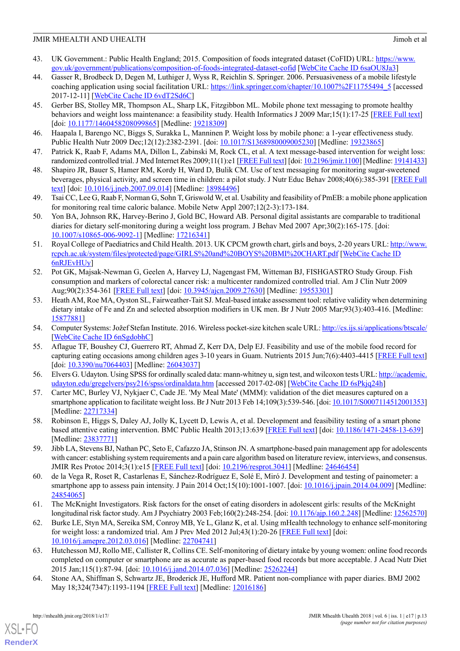- <span id="page-12-0"></span>43. UK Government.: Public Health England; 2015. Composition of foods integrated dataset (CoFID) URL: [https://www.](https://www.gov.uk/government/publications/composition-of-foods-integrated-dataset-cofid) [gov.uk/government/publications/composition-of-foods-integrated-dataset-cofid](https://www.gov.uk/government/publications/composition-of-foods-integrated-dataset-cofid) [[WebCite Cache ID 6saOU8Ja3\]](http://www.webcitation.org/6saOU8Ja3)
- <span id="page-12-1"></span>44. Gasser R, Brodbeck D, Degen M, Luthiger J, Wyss R, Reichlin S. Springer. 2006. Persuasiveness of a mobile lifestyle coaching application using social facilitation URL: [https://link.springer.com/chapter/10.1007%2F11755494\\_5](https://link.springer.com/chapter/10.1007%2F11755494_5) [accessed 2017-12-11] [[WebCite Cache ID 6vdT2Sd6C\]](http://www.webcitation.org/6vdT2Sd6C)
- 45. Gerber BS, Stolley MR, Thompson AL, Sharp LK, Fitzgibbon ML. Mobile phone text messaging to promote healthy behaviors and weight loss maintenance: a feasibility study. Health Informatics J 2009 Mar;15(1):17-25 [\[FREE Full text\]](http://europepmc.org/abstract/MED/19218309) [doi: [10.1177/1460458208099865\]](http://dx.doi.org/10.1177/1460458208099865) [Medline: [19218309](http://www.ncbi.nlm.nih.gov/entrez/query.fcgi?cmd=Retrieve&db=PubMed&list_uids=19218309&dopt=Abstract)]
- 46. Haapala I, Barengo NC, Biggs S, Surakka L, Manninen P. Weight loss by mobile phone: a 1-year effectiveness study. Public Health Nutr 2009 Dec;12(12):2382-2391. [doi: [10.1017/S1368980009005230\]](http://dx.doi.org/10.1017/S1368980009005230) [Medline: [19323865\]](http://www.ncbi.nlm.nih.gov/entrez/query.fcgi?cmd=Retrieve&db=PubMed&list_uids=19323865&dopt=Abstract)
- 47. Patrick K, Raab F, Adams MA, Dillon L, Zabinski M, Rock CL, et al. A text message-based intervention for weight loss: randomized controlled trial. J Med Internet Res 2009;11(1):e1 [[FREE Full text\]](http://www.jmir.org/2009/1/e1/) [doi: [10.2196/jmir.1100\]](http://dx.doi.org/10.2196/jmir.1100) [Medline: [19141433\]](http://www.ncbi.nlm.nih.gov/entrez/query.fcgi?cmd=Retrieve&db=PubMed&list_uids=19141433&dopt=Abstract)
- <span id="page-12-9"></span>48. Shapiro JR, Bauer S, Hamer RM, Kordy H, Ward D, Bulik CM. Use of text messaging for monitoring sugar-sweetened beverages, physical activity, and screen time in children: a pilot study. J Nutr Educ Behav 2008;40(6):385-391 [[FREE Full](http://europepmc.org/abstract/MED/18984496) [text\]](http://europepmc.org/abstract/MED/18984496) [doi: [10.1016/j.jneb.2007.09.014\]](http://dx.doi.org/10.1016/j.jneb.2007.09.014) [Medline: [18984496\]](http://www.ncbi.nlm.nih.gov/entrez/query.fcgi?cmd=Retrieve&db=PubMed&list_uids=18984496&dopt=Abstract)
- <span id="page-12-2"></span>49. Tsai CC, Lee G, Raab F, Norman G, Sohn T, Griswold W, et al. Usability and feasibility of PmEB: a mobile phone application for monitoring real time caloric balance. Mobile Netw Appl 2007;12(2-3):173-184.
- <span id="page-12-3"></span>50. Yon BA, Johnson RK, Harvey-Berino J, Gold BC, Howard AB. Personal digital assistants are comparable to traditional diaries for dietary self-monitoring during a weight loss program. J Behav Med 2007 Apr;30(2):165-175. [doi: [10.1007/s10865-006-9092-1\]](http://dx.doi.org/10.1007/s10865-006-9092-1) [Medline: [17216341](http://www.ncbi.nlm.nih.gov/entrez/query.fcgi?cmd=Retrieve&db=PubMed&list_uids=17216341&dopt=Abstract)]
- <span id="page-12-4"></span>51. Royal College of Paediatrics and Child Health. 2013. UK CPCM growth chart, girls and boys, 2-20 years URL: [http://www.](http://www.rcpch.ac.uk/system/files/protected/page/GIRLS%20and%20BOYS%20BMI%20CHART.pdf) [rcpch.ac.uk/system/files/protected/page/GIRLS%20and%20BOYS%20BMI%20CHART.pdf](http://www.rcpch.ac.uk/system/files/protected/page/GIRLS%20and%20BOYS%20BMI%20CHART.pdf) [[WebCite Cache ID](http://www.webcitation.org/6nRJEvHUy) [6nRJEvHUy\]](http://www.webcitation.org/6nRJEvHUy)
- <span id="page-12-5"></span>52. Pot GK, Majsak-Newman G, Geelen A, Harvey LJ, Nagengast FM, Witteman BJ, FISHGASTRO Study Group. Fish consumption and markers of colorectal cancer risk: a multicenter randomized controlled trial. Am J Clin Nutr 2009 Aug;90(2):354-361 [\[FREE Full text\]](http://www.ajcn.org/cgi/pmidlookup?view=long&pmid=19553301) [doi: [10.3945/ajcn.2009.27630\]](http://dx.doi.org/10.3945/ajcn.2009.27630) [Medline: [19553301](http://www.ncbi.nlm.nih.gov/entrez/query.fcgi?cmd=Retrieve&db=PubMed&list_uids=19553301&dopt=Abstract)]
- <span id="page-12-7"></span><span id="page-12-6"></span>53. Heath AM, Roe MA, Oyston SL, Fairweather-Tait SJ. Meal-based intake assessment tool: relative validity when determining dietary intake of Fe and Zn and selected absorption modifiers in UK men. Br J Nutr 2005 Mar;93(3):403-416. [Medline: [15877881](http://www.ncbi.nlm.nih.gov/entrez/query.fcgi?cmd=Retrieve&db=PubMed&list_uids=15877881&dopt=Abstract)]
- 54. Computer Systems: Jožef Stefan Institute. 2016. Wireless pocket-size kitchen scale URL:<http://cs.ijs.si/applications/btscale/> [[WebCite Cache ID 6nSgdobhC\]](http://www.webcitation.org/6nSgdobhC)
- <span id="page-12-10"></span><span id="page-12-8"></span>55. Aflague TF, Boushey CJ, Guerrero RT, Ahmad Z, Kerr DA, Delp EJ. Feasibility and use of the mobile food record for capturing eating occasions among children ages 3-10 years in Guam. Nutrients 2015 Jun;7(6):4403-4415 [\[FREE Full text](http://www.mdpi.com/resolver?pii=nu7064403)] [doi: [10.3390/nu7064403](http://dx.doi.org/10.3390/nu7064403)] [Medline: [26043037\]](http://www.ncbi.nlm.nih.gov/entrez/query.fcgi?cmd=Retrieve&db=PubMed&list_uids=26043037&dopt=Abstract)
- <span id="page-12-11"></span>56. Elvers G. Udayton. Using SPSS for ordinally scaled data: mann-whitney u, sign test, and wilcoxon tests URL: [http://academic.](http://academic.udayton.edu/gregelvers/psy216/spss/ordinaldata.htm) [udayton.edu/gregelvers/psy216/spss/ordinaldata.htm](http://academic.udayton.edu/gregelvers/psy216/spss/ordinaldata.htm) [accessed 2017-02-08] [[WebCite Cache ID 6sPkjq24h\]](http://www.webcitation.org/6sPkjq24h)
- <span id="page-12-12"></span>57. Carter MC, Burley VJ, Nykjaer C, Cade JE. 'My Meal Mate' (MMM): validation of the diet measures captured on a smartphone application to facilitate weight loss. Br J Nutr 2013 Feb 14;109(3):539-546. [doi: [10.1017/S0007114512001353\]](http://dx.doi.org/10.1017/S0007114512001353) [Medline: [22717334](http://www.ncbi.nlm.nih.gov/entrez/query.fcgi?cmd=Retrieve&db=PubMed&list_uids=22717334&dopt=Abstract)]
- <span id="page-12-13"></span>58. Robinson E, Higgs S, Daley AJ, Jolly K, Lycett D, Lewis A, et al. Development and feasibility testing of a smart phone based attentive eating intervention. BMC Public Health 2013;13:639 [\[FREE Full text\]](http://www.biomedcentral.com/1471-2458/13/639) [doi: [10.1186/1471-2458-13-639\]](http://dx.doi.org/10.1186/1471-2458-13-639) [Medline: [23837771](http://www.ncbi.nlm.nih.gov/entrez/query.fcgi?cmd=Retrieve&db=PubMed&list_uids=23837771&dopt=Abstract)]
- <span id="page-12-14"></span>59. Jibb LA, Stevens BJ, Nathan PC, Seto E, Cafazzo JA, Stinson JN. A smartphone-based pain management app for adolescents with cancer: establishing system requirements and a pain care algorithm based on literature review, interviews, and consensus. JMIR Res Protoc 2014;3(1):e15 [\[FREE Full text\]](http://www.researchprotocols.org/2014/1/e15/) [doi: [10.2196/resprot.3041\]](http://dx.doi.org/10.2196/resprot.3041) [Medline: [24646454](http://www.ncbi.nlm.nih.gov/entrez/query.fcgi?cmd=Retrieve&db=PubMed&list_uids=24646454&dopt=Abstract)]
- <span id="page-12-15"></span>60. de la Vega R, Roset R, Castarlenas E, Sánchez-Rodríguez E, Solé E, Miró J. Development and testing of painometer: a smartphone app to assess pain intensity. J Pain 2014 Oct;15(10):1001-1007. [doi: [10.1016/j.jpain.2014.04.009\]](http://dx.doi.org/10.1016/j.jpain.2014.04.009) [Medline: [24854065](http://www.ncbi.nlm.nih.gov/entrez/query.fcgi?cmd=Retrieve&db=PubMed&list_uids=24854065&dopt=Abstract)]
- <span id="page-12-16"></span>61. The McKnight Investigators. Risk factors for the onset of eating disorders in adolescent girls: results of the McKnight longitudinal risk factor study. Am J Psychiatry 2003 Feb;160(2):248-254. [doi: [10.1176/ajp.160.2.248\]](http://dx.doi.org/10.1176/ajp.160.2.248) [Medline: [12562570](http://www.ncbi.nlm.nih.gov/entrez/query.fcgi?cmd=Retrieve&db=PubMed&list_uids=12562570&dopt=Abstract)]
- <span id="page-12-17"></span>62. Burke LE, Styn MA, Sereika SM, Conroy MB, Ye L, Glanz K, et al. Using mHealth technology to enhance self-monitoring for weight loss: a randomized trial. Am J Prev Med 2012 Jul;43(1):20-26 [[FREE Full text](http://europepmc.org/abstract/MED/22704741)] [doi: [10.1016/j.amepre.2012.03.016\]](http://dx.doi.org/10.1016/j.amepre.2012.03.016) [Medline: [22704741\]](http://www.ncbi.nlm.nih.gov/entrez/query.fcgi?cmd=Retrieve&db=PubMed&list_uids=22704741&dopt=Abstract)
- 63. Hutchesson MJ, Rollo ME, Callister R, Collins CE. Self-monitoring of dietary intake by young women: online food records completed on computer or smartphone are as accurate as paper-based food records but more acceptable. J Acad Nutr Diet 2015 Jan;115(1):87-94. [doi: [10.1016/j.jand.2014.07.036](http://dx.doi.org/10.1016/j.jand.2014.07.036)] [Medline: [25262244\]](http://www.ncbi.nlm.nih.gov/entrez/query.fcgi?cmd=Retrieve&db=PubMed&list_uids=25262244&dopt=Abstract)
- 64. Stone AA, Shiffman S, Schwartz JE, Broderick JE, Hufford MR. Patient non-compliance with paper diaries. BMJ 2002 May 18;324(7347):1193-1194 [[FREE Full text](http://europepmc.org/abstract/MED/12016186)] [Medline: [12016186](http://www.ncbi.nlm.nih.gov/entrez/query.fcgi?cmd=Retrieve&db=PubMed&list_uids=12016186&dopt=Abstract)]